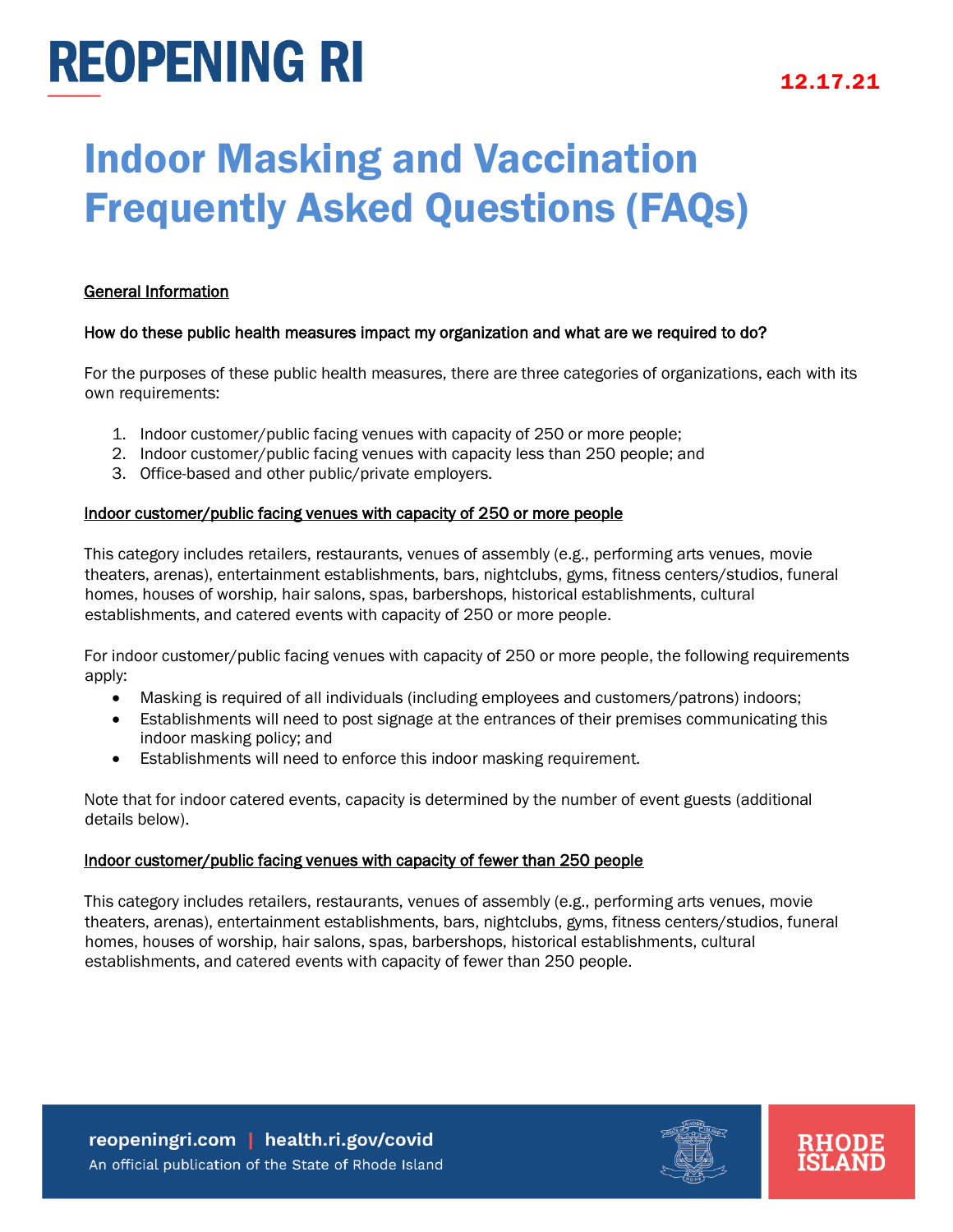# Indoor Masking and Vaccination Frequently Asked Questions (FAQs)

#### General Information

#### How do these public health measures impact my organization and what are we required to do?

For the purposes of these public health measures, there are three categories of organizations, each with its own requirements:

- 1. Indoor customer/public facing venues with capacity of 250 or more people;
- 2. Indoor customer/public facing venues with capacity less than 250 people; and
- 3. Office-based and other public/private employers.

#### Indoor customer/public facing venues with capacity of 250 or more people

This category includes retailers, restaurants, venues of assembly (e.g., performing arts venues, movie theaters, arenas), entertainment establishments, bars, nightclubs, gyms, fitness centers/studios, funeral homes, houses of worship, hair salons, spas, barbershops, historical establishments, cultural establishments, and catered events with capacity of 250 or more people.

For indoor customer/public facing venues with capacity of 250 or more people, the following requirements apply:

- Masking is required of all individuals (including employees and customers/patrons) indoors;
- Establishments will need to post signage at the entrances of their premises communicating this indoor masking policy; and
- Establishments will need to enforce this indoor masking requirement.

Note that for indoor catered events, capacity is determined by the number of event guests (additional details below).

#### Indoor customer/public facing venues with capacity of fewer than 250 people

This category includes retailers, restaurants, venues of assembly (e.g., performing arts venues, movie theaters, arenas), entertainment establishments, bars, nightclubs, gyms, fitness centers/studios, funeral homes, houses of worship, hair salons, spas, barbershops, historical establishments, cultural establishments, and catered events with capacity of fewer than 250 people.

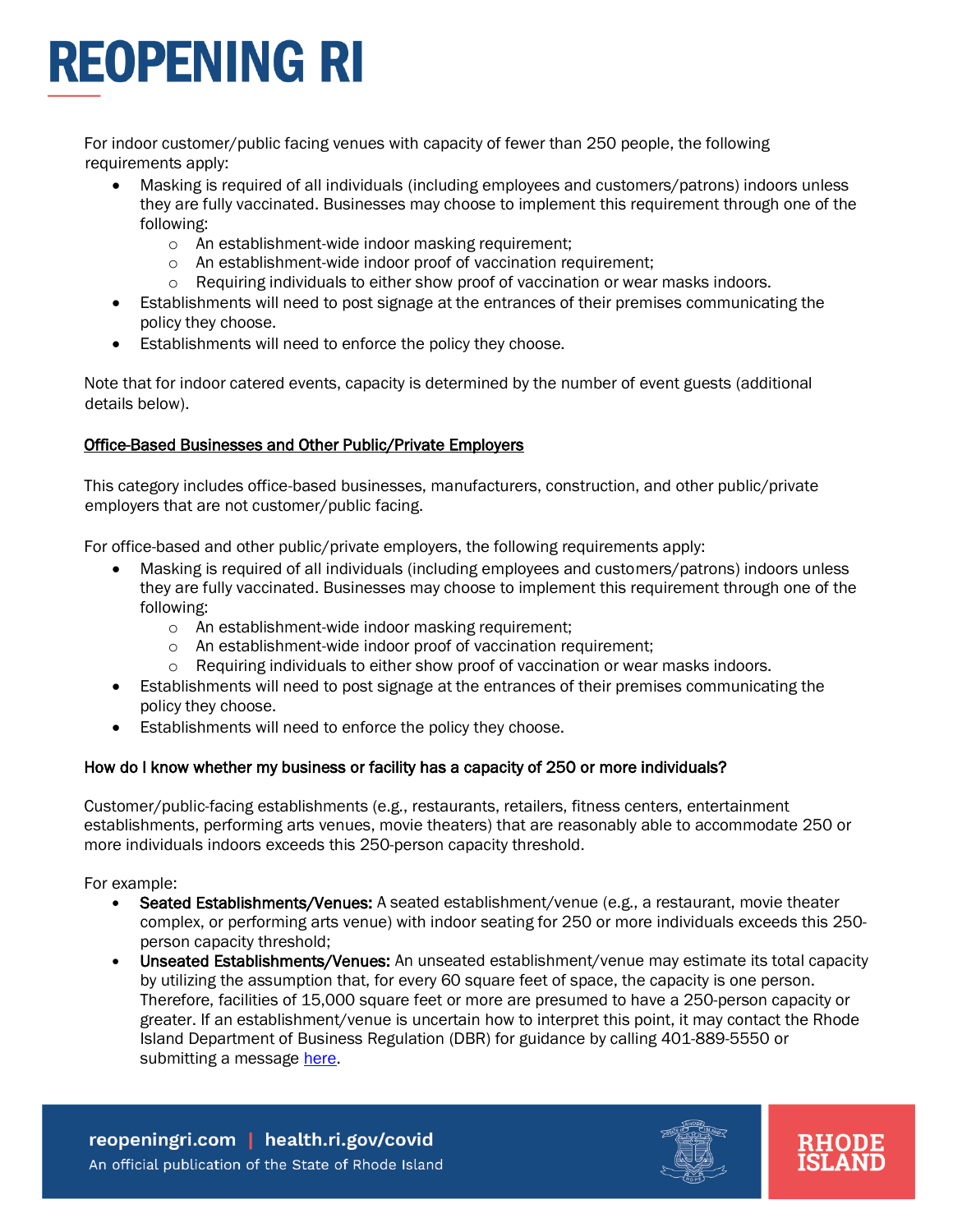For indoor customer/public facing venues with capacity of fewer than 250 people, the following requirements apply:

- Masking is required of all individuals (including employees and customers/patrons) indoors unless they are fully vaccinated. Businesses may choose to implement this requirement through one of the following:
	- o An establishment-wide indoor masking requirement;
	- o An establishment-wide indoor proof of vaccination requirement;
	- $\circ$  Requiring individuals to either show proof of vaccination or wear masks indoors.
- Establishments will need to post signage at the entrances of their premises communicating the policy they choose.
- Establishments will need to enforce the policy they choose.

Note that for indoor catered events, capacity is determined by the number of event guests (additional details below).

### Office-Based Businesses and Other Public/Private Employers

This category includes office-based businesses, manufacturers, construction, and other public/private employers that are not customer/public facing.

For office-based and other public/private employers, the following requirements apply:

- Masking is required of all individuals (including employees and customers/patrons) indoors unless they are fully vaccinated. Businesses may choose to implement this requirement through one of the following:
	- o An establishment-wide indoor masking requirement;
	- o An establishment-wide indoor proof of vaccination requirement;
	- $\circ$  Requiring individuals to either show proof of vaccination or wear masks indoors.
- Establishments will need to post signage at the entrances of their premises communicating the policy they choose.
- Establishments will need to enforce the policy they choose.

### How do I know whether my business or facility has a capacity of 250 or more individuals?

Customer/public-facing establishments (e.g., restaurants, retailers, fitness centers, entertainment establishments, performing arts venues, movie theaters) that are reasonably able to accommodate 250 or more individuals indoors exceeds this 250-person capacity threshold.

For example:

- Seated Establishments/Venues: A seated establishment/venue (e.g., a restaurant, movie theater complex, or performing arts venue) with indoor seating for 250 or more individuals exceeds this 250 person capacity threshold;
- Unseated Establishments/Venues: An unseated establishment/venue may estimate its total capacity by utilizing the assumption that, for every 60 square feet of space, the capacity is one person. Therefore, facilities of 15,000 square feet or more are presumed to have a 250-person capacity or greater. If an establishment/venue is uncertain how to interpret this point, it may contact the Rhode Island Department of Business Regulation (DBR) for guidance by calling 401-889-5550 or submitting a message [here.](https://taskforce.dbr.ri.gov/)

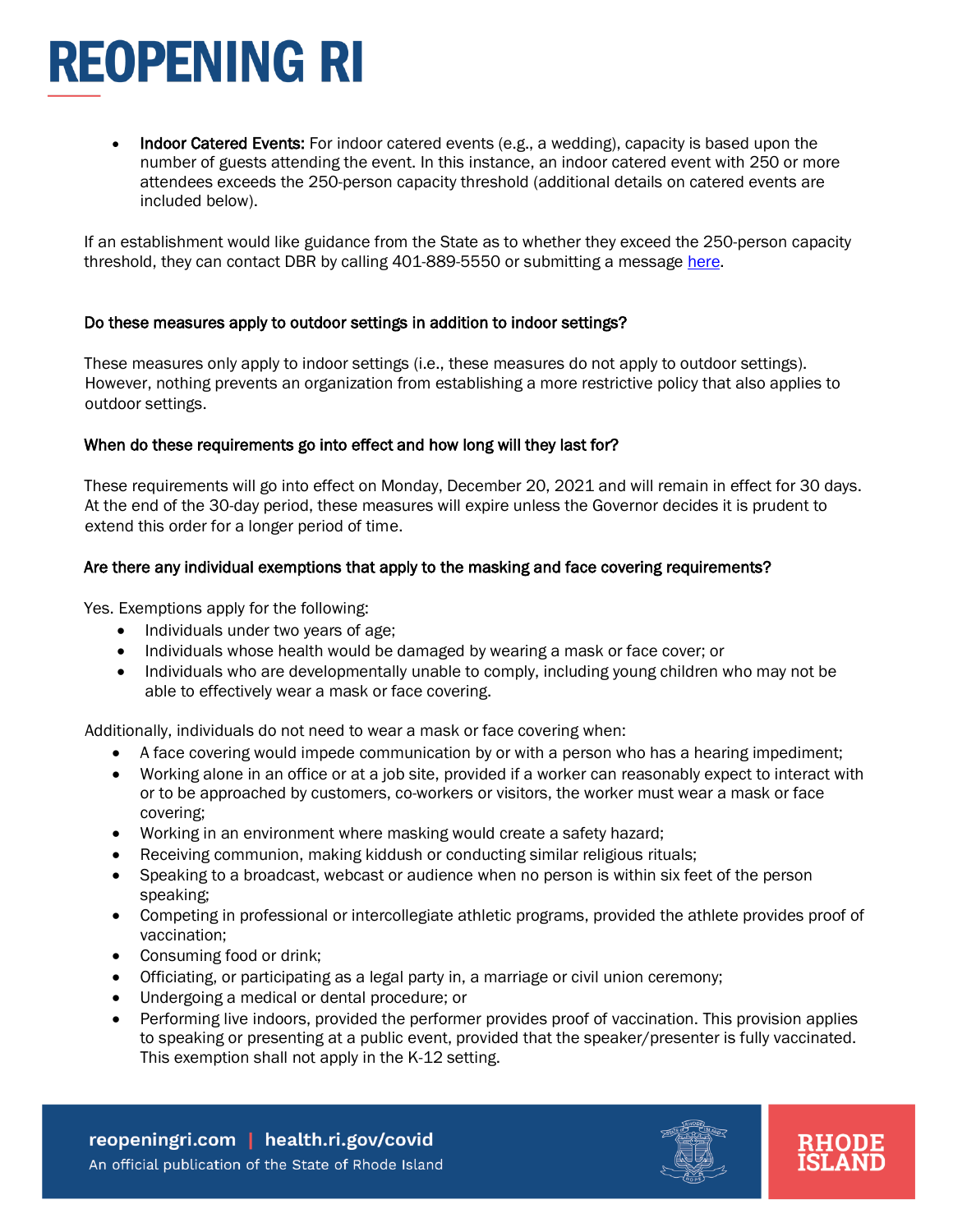• Indoor Catered Events: For indoor catered events (e.g., a wedding), capacity is based upon the number of guests attending the event. In this instance, an indoor catered event with 250 or more attendees exceeds the 250-person capacity threshold (additional details on catered events are included below).

If an establishment would like guidance from the State as to whether they exceed the 250-person capacity threshold, they can contact DBR by calling 401-889-5550 or submitting a message [here.](https://taskforce.dbr.ri.gov/)

#### Do these measures apply to outdoor settings in addition to indoor settings?

These measures only apply to indoor settings (i.e., these measures do not apply to outdoor settings). However, nothing prevents an organization from establishing a more restrictive policy that also applies to outdoor settings.

#### When do these requirements go into effect and how long will they last for?

These requirements will go into effect on Monday, December 20, 2021 and will remain in effect for 30 days. At the end of the 30-day period, these measures will expire unless the Governor decides it is prudent to extend this order for a longer period of time.

#### Are there any individual exemptions that apply to the masking and face covering requirements?

Yes. Exemptions apply for the following:

- Individuals under two years of age;
- Individuals whose health would be damaged by wearing a mask or face cover; or
- Individuals who are developmentally unable to comply, including young children who may not be able to effectively wear a mask or face covering.

Additionally, individuals do not need to wear a mask or face covering when:

- A face covering would impede communication by or with a person who has a hearing impediment;
- Working alone in an office or at a job site, provided if a worker can reasonably expect to interact with or to be approached by customers, co-workers or visitors, the worker must wear a mask or face covering;
- Working in an environment where masking would create a safety hazard;
- Receiving communion, making kiddush or conducting similar religious rituals;
- Speaking to a broadcast, webcast or audience when no person is within six feet of the person speaking;
- Competing in professional or intercollegiate athletic programs, provided the athlete provides proof of vaccination;
- Consuming food or drink;
- Officiating, or participating as a legal party in, a marriage or civil union ceremony;
- Undergoing a medical or dental procedure; or
- Performing live indoors, provided the performer provides proof of vaccination. This provision applies to speaking or presenting at a public event, provided that the speaker/presenter is fully vaccinated. This exemption shall not apply in the K-12 setting.



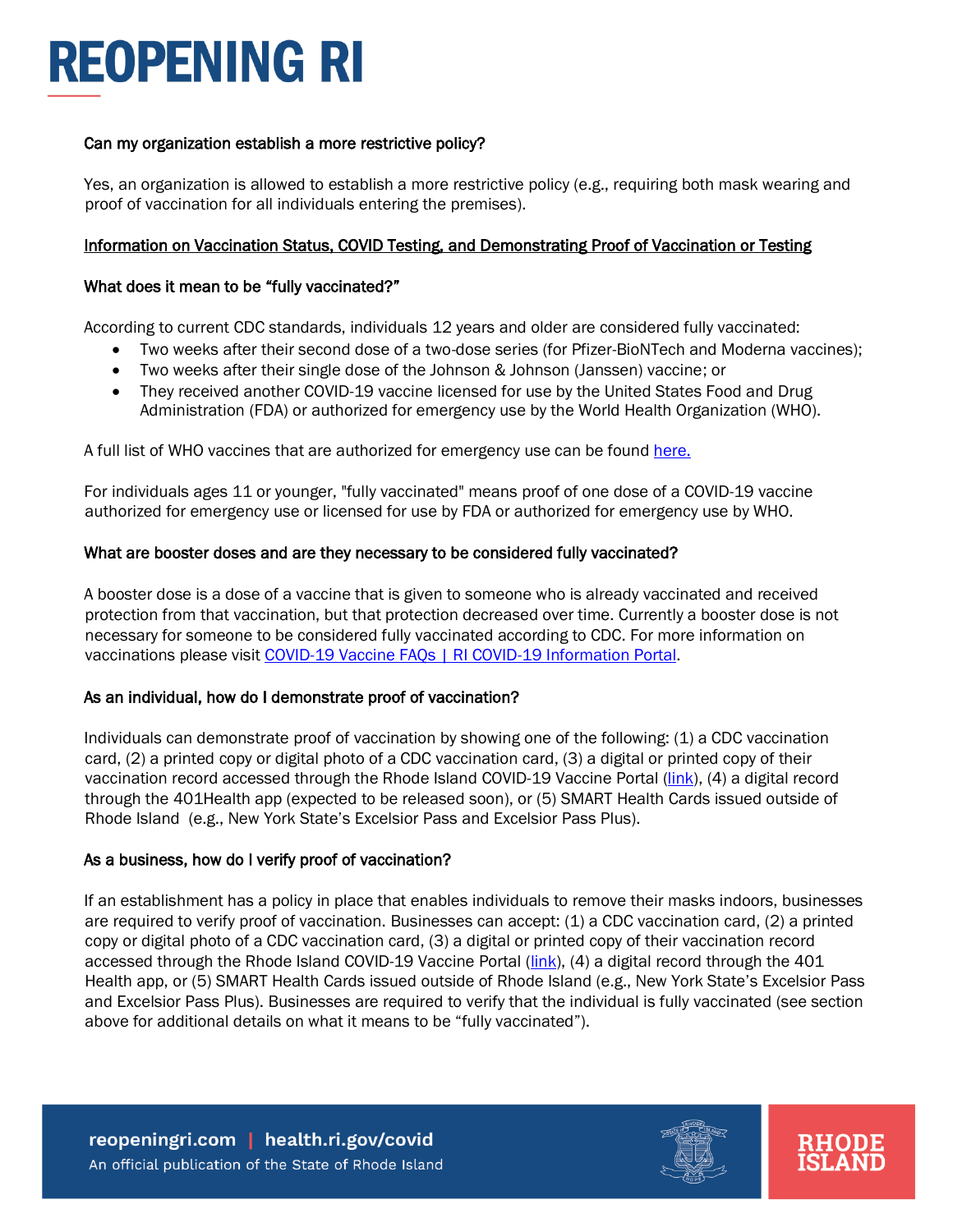#### Can my organization establish a more restrictive policy?

Yes, an organization is allowed to establish a more restrictive policy (e.g., requiring both mask wearing and proof of vaccination for all individuals entering the premises).

#### Information on Vaccination Status, COVID Testing, and Demonstrating Proof of Vaccination or Testing

#### What does it mean to be "fully vaccinated?"

According to current CDC standards, individuals 12 years and older are considered fully vaccinated:

- Two weeks after their second dose of a two-dose series (for Pfizer-BioNTech and Moderna vaccines);
- Two weeks after their single dose of the Johnson & Johnson (Janssen) vaccine; or
- They received another COVID-19 vaccine licensed for use by the United States Food and Drug Administration (FDA) or authorized for emergency use by the World Health Organization (WHO).

A full list of WHO vaccines that are authorized for emergency use can be found [here.](https://extranet.who.int/pqweb/sites/default/files/documents/Status_COVID_VAX_11Nov2021.pdf)

For individuals ages 11 or younger, "fully vaccinated" means proof of one dose of a COVID-19 vaccine authorized for emergency use or licensed for use by FDA or authorized for emergency use by WHO.

#### What are booster doses and are they necessary to be considered fully vaccinated?

A booster dose is a dose of a vaccine that is given to someone who is already vaccinated and received protection from that vaccination, but that protection decreased over time. Currently a booster dose is not necessary for someone to be considered fully vaccinated according to CDC. For more information on vaccinations please visit [COVID-19 Vaccine FAQs | RI COVID-19 Information Portal.](https://covid.ri.gov/vaccination/covid-19-vaccine-faqs)

#### As an individual, how do I demonstrate proof of vaccination?

Individuals can demonstrate proof of vaccination by showing one of the following: (1) a CDC vaccination card, (2) a printed copy or digital photo of a CDC vaccination card, (3) a digital or printed copy of their vaccination record accessed through the Rhode Island COVID-19 Vaccine Portal [\(link\)](https://portal.ri.gov/VaccineRecord/s/), (4) a digital record through the 401Health app (expected to be released soon), or (5) SMART Health Cards issued outside of Rhode Island (e.g., New York State's Excelsior Pass and Excelsior Pass Plus).

#### As a business, how do I verify proof of vaccination?

If an establishment has a policy in place that enables individuals to remove their masks indoors, businesses are required to verify proof of vaccination. Businesses can accept: (1) a CDC vaccination card, (2) a printed copy or digital photo of a CDC vaccination card, (3) a digital or printed copy of their vaccination record accessed through the Rhode Island COVID-19 Vaccine Portal (*link*), (4) a digital record through the 401 Health app, or (5) SMART Health Cards issued outside of Rhode Island (e.g., New York State's Excelsior Pass and Excelsior Pass Plus). Businesses are required to verify that the individual is fully vaccinated (see section above for additional details on what it means to be "fully vaccinated").



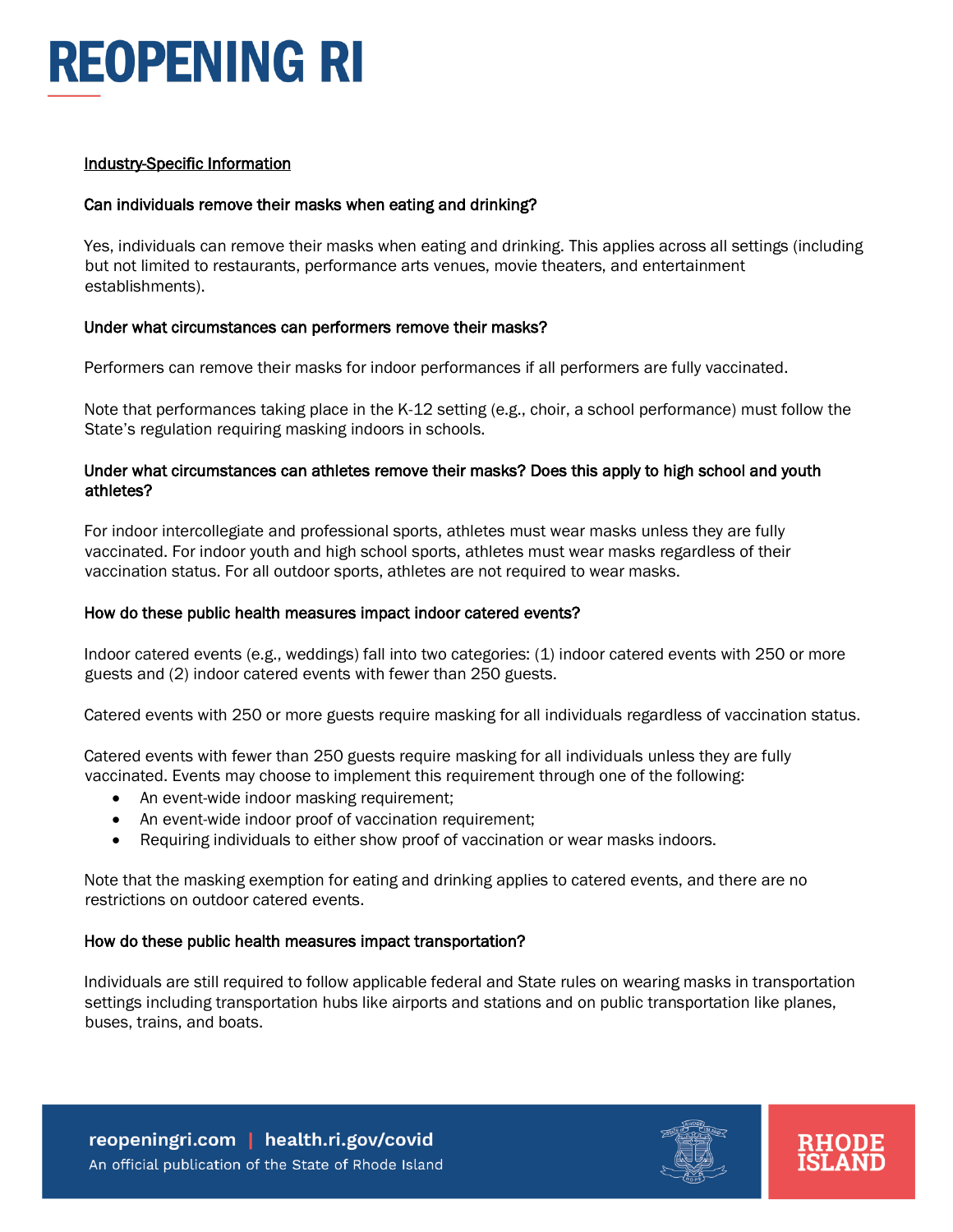#### Industry-Specific Information

### Can individuals remove their masks when eating and drinking?

Yes, individuals can remove their masks when eating and drinking. This applies across all settings (including but not limited to restaurants, performance arts venues, movie theaters, and entertainment establishments).

### Under what circumstances can performers remove their masks?

Performers can remove their masks for indoor performances if all performers are fully vaccinated.

Note that performances taking place in the K-12 setting (e.g., choir, a school performance) must follow the State's regulation requiring masking indoors in schools.

#### Under what circumstances can athletes remove their masks? Does this apply to high school and youth athletes?

For indoor intercollegiate and professional sports, athletes must wear masks unless they are fully vaccinated. For indoor youth and high school sports, athletes must wear masks regardless of their vaccination status. For all outdoor sports, athletes are not required to wear masks.

### How do these public health measures impact indoor catered events?

Indoor catered events (e.g., weddings) fall into two categories: (1) indoor catered events with 250 or more guests and (2) indoor catered events with fewer than 250 guests.

Catered events with 250 or more guests require masking for all individuals regardless of vaccination status.

Catered events with fewer than 250 guests require masking for all individuals unless they are fully vaccinated. Events may choose to implement this requirement through one of the following:

- An event-wide indoor masking requirement;
- An event-wide indoor proof of vaccination requirement;
- Requiring individuals to either show proof of vaccination or wear masks indoors.

Note that the masking exemption for eating and drinking applies to catered events, and there are no restrictions on outdoor catered events.

## How do these public health measures impact transportation?

Individuals are still required to follow applicable federal and State rules on wearing masks in transportation settings including transportation hubs like airports and stations and on public transportation like planes, buses, trains, and boats.